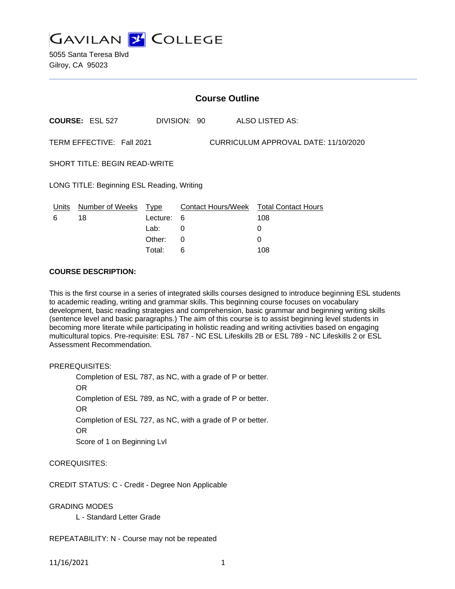**GAVILAN 2 COLLEGE** 

5055 Santa Teresa Blvd Gilroy, CA 95023

|                                            | <b>Course Outline</b>         |                                    |              |                                      |                                                         |  |  |
|--------------------------------------------|-------------------------------|------------------------------------|--------------|--------------------------------------|---------------------------------------------------------|--|--|
|                                            | <b>COURSE: ESL 527</b>        |                                    | DIVISION: 90 |                                      | ALSO LISTED AS:                                         |  |  |
|                                            | TERM EFFECTIVE: Fall 2021     |                                    |              | CURRICULUM APPROVAL DATE: 11/10/2020 |                                                         |  |  |
|                                            | SHORT TITLE: BEGIN READ-WRITE |                                    |              |                                      |                                                         |  |  |
| LONG TITLE: Beginning ESL Reading, Writing |                               |                                    |              |                                      |                                                         |  |  |
| Units<br>6                                 | Number of Weeks<br>18         | Type<br>Lecture:<br>Lab:<br>Other: | 6<br>0<br>0  |                                      | Contact Hours/Week Total Contact Hours<br>108<br>0<br>0 |  |  |
|                                            |                               |                                    |              |                                      |                                                         |  |  |

Total: 6 108

### **COURSE DESCRIPTION:**

This is the first course in a series of integrated skills courses designed to introduce beginning ESL students to academic reading, writing and grammar skills. This beginning course focuses on vocabulary development, basic reading strategies and comprehension, basic grammar and beginning writing skills (sentence level and basic paragraphs.) The aim of this course is to assist beginning level students in becoming more literate while participating in holistic reading and writing activities based on engaging multicultural topics. Pre-requisite: ESL 787 - NC ESL Lifeskills 2B or ESL 789 - NC Lifeskills 2 or ESL Assessment Recommendation.

PREREQUISITES:

Completion of ESL 787, as NC, with a grade of P or better. OR Completion of ESL 789, as NC, with a grade of P or better. OR Completion of ESL 727, as NC, with a grade of P or better. OR Score of 1 on Beginning Lvl

COREQUISITES:

CREDIT STATUS: C - Credit - Degree Non Applicable

GRADING MODES

L - Standard Letter Grade

REPEATABILITY: N - Course may not be repeated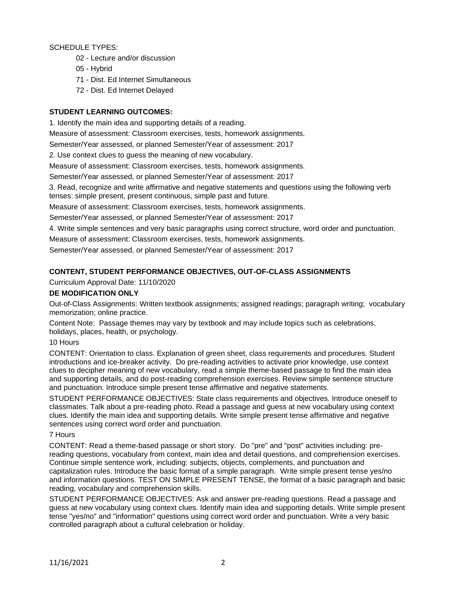SCHEDULE TYPES:

- 02 Lecture and/or discussion
- 05 Hybrid
- 71 Dist. Ed Internet Simultaneous
- 72 Dist. Ed Internet Delayed

# **STUDENT LEARNING OUTCOMES:**

1. Identify the main idea and supporting details of a reading.

Measure of assessment: Classroom exercises, tests, homework assignments.

Semester/Year assessed, or planned Semester/Year of assessment: 2017

2. Use context clues to guess the meaning of new vocabulary.

Measure of assessment: Classroom exercises, tests, homework assignments.

Semester/Year assessed, or planned Semester/Year of assessment: 2017

3. Read, recognize and write affirmative and negative statements and questions using the following verb tenses: simple present, present continuous, simple past and future.

Measure of assessment: Classroom exercises, tests, homework assignments.

Semester/Year assessed, or planned Semester/Year of assessment: 2017

4. Write simple sentences and very basic paragraphs using correct structure, word order and punctuation.

Measure of assessment: Classroom exercises, tests, homework assignments.

Semester/Year assessed, or planned Semester/Year of assessment: 2017

# **CONTENT, STUDENT PERFORMANCE OBJECTIVES, OUT-OF-CLASS ASSIGNMENTS**

# Curriculum Approval Date: 11/10/2020

# **DE MODIFICATION ONLY**

Out-of-Class Assignments: Written textbook assignments; assigned readings; paragraph writing; vocabulary memorization; online practice.

Content Note: Passage themes may vary by textbook and may include topics such as celebrations, holidays, places, health, or psychology.

# 10 Hours

CONTENT: Orientation to class. Explanation of green sheet, class requirements and procedures. Student introductions and ice-breaker activity. Do pre-reading activities to activate prior knowledge, use context clues to decipher meaning of new vocabulary, read a simple theme-based passage to find the main idea and supporting details, and do post-reading comprehension exercises. Review simple sentence structure and punctuation. Introduce simple present tense affirmative and negative statements.

STUDENT PERFORMANCE OBJECTIVES: State class requirements and objectives. Introduce oneself to classmates. Talk about a pre-reading photo. Read a passage and guess at new vocabulary using context clues. Identify the main idea and supporting details. Write simple present tense affirmative and negative sentences using correct word order and punctuation.

### 7 Hours

CONTENT: Read a theme-based passage or short story. Do "pre" and "post" activities including: prereading questions, vocabulary from context, main idea and detail questions, and comprehension exercises. Continue simple sentence work, including: subjects, objects, complements, and punctuation and capitalization rules. Introduce the basic format of a simple paragraph. Write simple present tense yes/no and information questions. TEST ON SIMPLE PRESENT TENSE, the format of a basic paragraph and basic reading, vocabulary and comprehension skills.

STUDENT PERFORMANCE OBJECTIVES: Ask and answer pre-reading questions. Read a passage and guess at new vocabulary using context clues. Identify main idea and supporting details. Write simple present tense "yes/no" and "information" questions using correct word order and punctuation. Write a very basic controlled paragraph about a cultural celebration or holiday.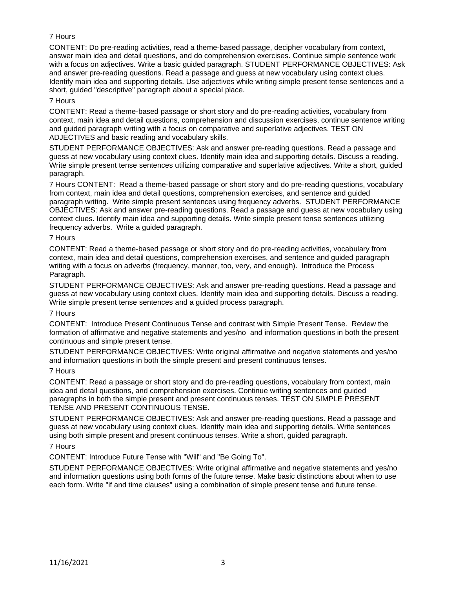# 7 Hours

CONTENT: Do pre-reading activities, read a theme-based passage, decipher vocabulary from context, answer main idea and detail questions, and do comprehension exercises. Continue simple sentence work with a focus on adjectives. Write a basic guided paragraph. STUDENT PERFORMANCE OBJECTIVES: Ask and answer pre-reading questions. Read a passage and guess at new vocabulary using context clues. Identify main idea and supporting details. Use adjectives while writing simple present tense sentences and a short, guided "descriptive" paragraph about a special place.

### 7 Hours

CONTENT: Read a theme-based passage or short story and do pre-reading activities, vocabulary from context, main idea and detail questions, comprehension and discussion exercises, continue sentence writing and guided paragraph writing with a focus on comparative and superlative adjectives. TEST ON ADJECTIVES and basic reading and vocabulary skills.

STUDENT PERFORMANCE OBJECTIVES: Ask and answer pre-reading questions. Read a passage and guess at new vocabulary using context clues. Identify main idea and supporting details. Discuss a reading. Write simple present tense sentences utilizing comparative and superlative adjectives. Write a short, guided paragraph.

7 Hours CONTENT: Read a theme-based passage or short story and do pre-reading questions, vocabulary from context, main idea and detail questions, comprehension exercises, and sentence and guided paragraph writing. Write simple present sentences using frequency adverbs. STUDENT PERFORMANCE OBJECTIVES: Ask and answer pre-reading questions. Read a passage and guess at new vocabulary using context clues. Identify main idea and supporting details. Write simple present tense sentences utilizing frequency adverbs. Write a guided paragraph.

### 7 Hours

CONTENT: Read a theme-based passage or short story and do pre-reading activities, vocabulary from context, main idea and detail questions, comprehension exercises, and sentence and guided paragraph writing with a focus on adverbs (frequency, manner, too, very, and enough). Introduce the Process Paragraph.

STUDENT PERFORMANCE OBJECTIVES: Ask and answer pre-reading questions. Read a passage and guess at new vocabulary using context clues. Identify main idea and supporting details. Discuss a reading. Write simple present tense sentences and a guided process paragraph.

#### 7 Hours

CONTENT: Introduce Present Continuous Tense and contrast with Simple Present Tense. Review the formation of affirmative and negative statements and yes/no and information questions in both the present continuous and simple present tense.

STUDENT PERFORMANCE OBJECTIVES: Write original affirmative and negative statements and yes/no and information questions in both the simple present and present continuous tenses.

# 7 Hours

CONTENT: Read a passage or short story and do pre-reading questions, vocabulary from context, main idea and detail questions, and comprehension exercises. Continue writing sentences and guided paragraphs in both the simple present and present continuous tenses. TEST ON SIMPLE PRESENT TENSE AND PRESENT CONTINUOUS TENSE.

STUDENT PERFORMANCE OBJECTIVES: Ask and answer pre-reading questions. Read a passage and guess at new vocabulary using context clues. Identify main idea and supporting details. Write sentences using both simple present and present continuous tenses. Write a short, guided paragraph.

#### 7 Hours

CONTENT: Introduce Future Tense with "Will" and "Be Going To".

STUDENT PERFORMANCE OBJECTIVES: Write original affirmative and negative statements and yes/no and information questions using both forms of the future tense. Make basic distinctions about when to use each form. Write "if and time clauses" using a combination of simple present tense and future tense.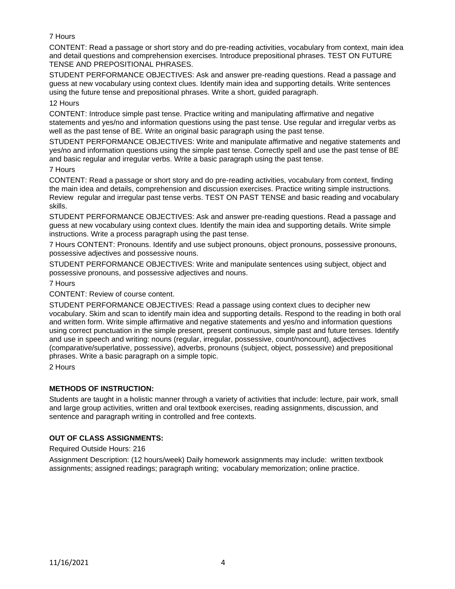# 7 Hours

CONTENT: Read a passage or short story and do pre-reading activities, vocabulary from context, main idea and detail questions and comprehension exercises. Introduce prepositional phrases. TEST ON FUTURE TENSE AND PREPOSITIONAL PHRASES.

STUDENT PERFORMANCE OBJECTIVES: Ask and answer pre-reading questions. Read a passage and guess at new vocabulary using context clues. Identify main idea and supporting details. Write sentences using the future tense and prepositional phrases. Write a short, guided paragraph.

### 12 Hours

CONTENT: Introduce simple past tense. Practice writing and manipulating affirmative and negative statements and yes/no and information questions using the past tense. Use regular and irregular verbs as well as the past tense of BE. Write an original basic paragraph using the past tense.

STUDENT PERFORMANCE OBJECTIVES: Write and manipulate affirmative and negative statements and yes/no and information questions using the simple past tense. Correctly spell and use the past tense of BE and basic regular and irregular verbs. Write a basic paragraph using the past tense.

### 7 Hours

CONTENT: Read a passage or short story and do pre-reading activities, vocabulary from context, finding the main idea and details, comprehension and discussion exercises. Practice writing simple instructions. Review regular and irregular past tense verbs. TEST ON PAST TENSE and basic reading and vocabulary skills.

STUDENT PERFORMANCE OBJECTIVES: Ask and answer pre-reading questions. Read a passage and guess at new vocabulary using context clues. Identify the main idea and supporting details. Write simple instructions. Write a process paragraph using the past tense.

7 Hours CONTENT: Pronouns. Identify and use subject pronouns, object pronouns, possessive pronouns, possessive adjectives and possessive nouns.

STUDENT PERFORMANCE OBJECTIVES: Write and manipulate sentences using subject, object and possessive pronouns, and possessive adjectives and nouns.

### 7 Hours

CONTENT: Review of course content.

STUDENT PERFORMANCE OBJECTIVES: Read a passage using context clues to decipher new vocabulary. Skim and scan to identify main idea and supporting details. Respond to the reading in both oral and written form. Write simple affirmative and negative statements and yes/no and information questions using correct punctuation in the simple present, present continuous, simple past and future tenses. Identify and use in speech and writing: nouns (regular, irregular, possessive, count/noncount), adjectives (comparative/superlative, possessive), adverbs, pronouns (subject, object, possessive) and prepositional phrases. Write a basic paragraph on a simple topic.

2 Hours

# **METHODS OF INSTRUCTION:**

Students are taught in a holistic manner through a variety of activities that include: lecture, pair work, small and large group activities, written and oral textbook exercises, reading assignments, discussion, and sentence and paragraph writing in controlled and free contexts.

# **OUT OF CLASS ASSIGNMENTS:**

Required Outside Hours: 216

Assignment Description: (12 hours/week) Daily homework assignments may include: written textbook assignments; assigned readings; paragraph writing; vocabulary memorization; online practice.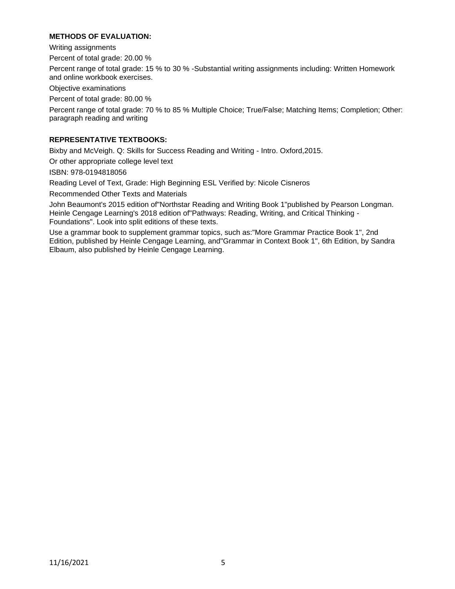# **METHODS OF EVALUATION:**

Writing assignments

Percent of total grade: 20.00 %

Percent range of total grade: 15 % to 30 % -Substantial writing assignments including: Written Homework and online workbook exercises.

Objective examinations

Percent of total grade: 80.00 %

Percent range of total grade: 70 % to 85 % Multiple Choice; True/False; Matching Items; Completion; Other: paragraph reading and writing

# **REPRESENTATIVE TEXTBOOKS:**

Bixby and McVeigh. Q: Skills for Success Reading and Writing - Intro. Oxford,2015.

Or other appropriate college level text

ISBN: 978-0194818056

Reading Level of Text, Grade: High Beginning ESL Verified by: Nicole Cisneros

Recommended Other Texts and Materials

John Beaumont's 2015 edition of"Northstar Reading and Writing Book 1"published by Pearson Longman. Heinle Cengage Learning's 2018 edition of"Pathways: Reading, Writing, and Critical Thinking - Foundations". Look into split editions of these texts.

Use a grammar book to supplement grammar topics, such as:"More Grammar Practice Book 1", 2nd Edition, published by Heinle Cengage Learning, and"Grammar in Context Book 1", 6th Edition, by Sandra Elbaum, also published by Heinle Cengage Learning.